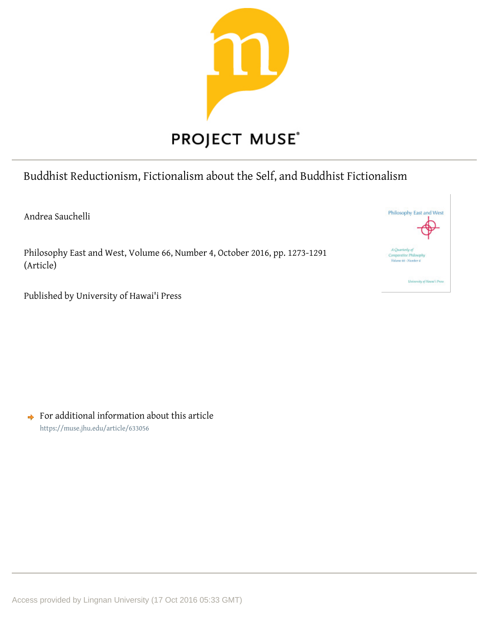

# Buddhist Reductionism, Fictionalism about the Self, and Buddhist Fictionalism

Andrea Sauchelli

Philosophy East and West, Volume 66, Number 4, October 2016, pp. 1273-1291 (Article)



Published by University of Hawai'i Press

 $\rightarrow$  For additional information about this article https://muse.jhu.edu/article/633056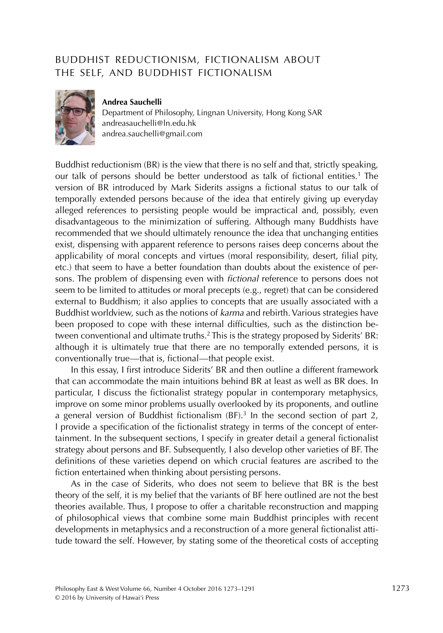## BUDDHIST REDUCTIONISM, FICTIONALISM ABOUT THE SELF, AND BUDDHIST FICTIONALISM



#### **Andrea Sauchelli**

Department of Philosophy, Lingnan University, Hong Kong SAR andreasauchelli@ln.edu.hk andrea.sauchelli@gmail.com

Buddhist reductionism (BR) is the view that there is no self and that, strictly speaking, our talk of persons should be better understood as talk of fictional entities.<sup>1</sup> The version of BR introduced by Mark Siderits assigns a fictional status to our talk of temporally extended persons because of the idea that entirely giving up everyday alleged references to persisting people would be impractical and, possibly, even disadvantageous to the minimization of suffering. Although many Buddhists have recommended that we should ultimately renounce the idea that unchanging entities exist, dispensing with apparent reference to persons raises deep concerns about the applicability of moral concepts and virtues (moral responsibility, desert, filial pity, etc.) that seem to have a better foundation than doubts about the existence of persons. The problem of dispensing even with *fictional* reference to persons does not seem to be limited to attitudes or moral precepts (e.g., regret) that can be considered external to Buddhism; it also applies to concepts that are usually associated with a Buddhist worldview, such as the notions of karma and rebirth. Various strategies have been proposed to cope with these internal difficulties, such as the distinction between conventional and ultimate truths.<sup>2</sup> This is the strategy proposed by Siderits' BR: although it is ultimately true that there are no temporally extended persons, it is conventionally true—that is, fictional—that people exist.

In this essay, I first introduce Siderits' BR and then outline a different framework that can accommodate the main intuitions behind BR at least as well as BR does. In particular, I discuss the fictionalist strategy popular in contemporary metaphysics, improve on some minor problems usually overlooked by its proponents, and outline a general version of Buddhist fictionalism  $(BF)$ .<sup>3</sup> In the second section of part 2, I provide a specification of the fictionalist strategy in terms of the concept of entertainment. In the subsequent sections, I specify in greater detail a general fictionalist strategy about persons and BF. Subsequently, I also develop other varieties of BF. The definitions of these varieties depend on which crucial features are ascribed to the fiction entertained when thinking about persisting persons.

As in the case of Siderits, who does not seem to believe that BR is the best theory of the self, it is my belief that the variants of BF here outlined are not the best theories available. Thus, I propose to offer a charitable reconstruction and mapping of philosophical views that combine some main Buddhist principles with recent developments in metaphysics and a reconstruction of a more general fictionalist attitude toward the self. However, by stating some of the theoretical costs of accepting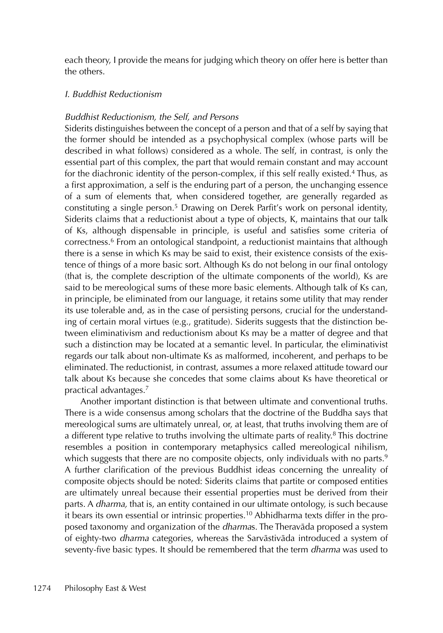each theory, I provide the means for judging which theory on offer here is better than the others.

## I. Buddhist Reductionism

## Buddhist Reductionism, the Self, and Persons

Siderits distinguishes between the concept of a person and that of a self by saying that the former should be intended as a psychophysical complex (whose parts will be described in what follows) considered as a whole. The self, in contrast, is only the essential part of this complex, the part that would remain constant and may account for the diachronic identity of the person-complex, if this self really existed.<sup>4</sup> Thus, as a first approximation, a self is the enduring part of a person, the unchanging essence of a sum of elements that, when considered together, are generally regarded as constituting a single person.<sup>5</sup> Drawing on Derek Parfit's work on personal identity, Siderits claims that a reductionist about a type of objects, K, maintains that our talk of Ks, although dispensable in principle, is useful and satisfies some criteria of correctness.6 From an ontological standpoint, a reductionist maintains that although there is a sense in which Ks may be said to exist, their existence consists of the existence of things of a more basic sort. Although Ks do not belong in our final ontology (that is, the complete description of the ultimate components of the world), Ks are said to be mereological sums of these more basic elements. Although talk of Ks can, in principle, be eliminated from our language, it retains some utility that may render its use tolerable and, as in the case of persisting persons, crucial for the understanding of certain moral virtues (e.g., gratitude). Siderits suggests that the distinction between eliminativism and reductionism about Ks may be a matter of degree and that such a distinction may be located at a semantic level. In particular, the eliminativist regards our talk about non-ultimate Ks as malformed, incoherent, and perhaps to be eliminated. The reductionist, in contrast, assumes a more relaxed attitude toward our talk about Ks because she concedes that some claims about Ks have theoretical or practical advantages.7

Another important distinction is that between ultimate and conventional truths. There is a wide consensus among scholars that the doctrine of the Buddha says that mereological sums are ultimately unreal, or, at least, that truths involving them are of a different type relative to truths involving the ultimate parts of reality.<sup>8</sup> This doctrine resembles a position in contemporary metaphysics called mereological nihilism, which suggests that there are no composite objects, only individuals with no parts.<sup>9</sup> A further clarification of the previous Buddhist ideas concerning the unreality of composite objects should be noted: Siderits claims that partite or composed entities are ultimately unreal because their essential properties must be derived from their parts. A *dharma*, that is, an entity contained in our ultimate ontology, is such because it bears its own essential or intrinsic properties.<sup>10</sup> Abhidharma texts differ in the proposed taxonomy and organization of the dharmas. The Theravāda proposed a system of eighty-two dharma categories, whereas the Sarvāstivāda introduced a system of seventy-five basic types. It should be remembered that the term *dharma* was used to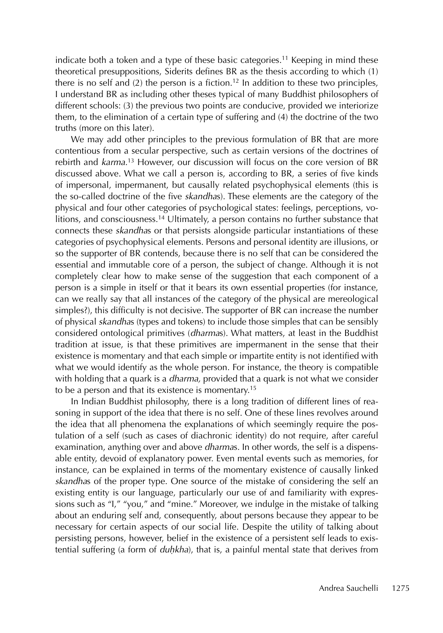indicate both a token and a type of these basic categories.<sup>11</sup> Keeping in mind these theoretical presuppositions, Siderits defines BR as the thesis according to which (1) there is no self and  $(2)$  the person is a fiction.<sup>12</sup> In addition to these two principles, I understand BR as including other theses typical of many Buddhist philosophers of different schools: (3) the previous two points are conducive, provided we interiorize them, to the elimination of a certain type of suffering and (4) the doctrine of the two truths (more on this later).

We may add other principles to the previous formulation of BR that are more contentious from a secular perspective, such as certain versions of the doctrines of rebirth and karma.<sup>13</sup> However, our discussion will focus on the core version of BR discussed above. What we call a person is, according to BR, a series of five kinds of impersonal, impermanent, but causally related psychophysical elements (this is the so-called doctrine of the five skandhas). These elements are the category of the physical and four other categories of psychological states: feelings, perceptions, volitions, and consciousness.14 Ultimately, a person contains no further substance that connects these skandhas or that persists alongside particular instantiations of these categories of psychophysical elements. Persons and personal identity are illusions, or so the supporter of BR contends, because there is no self that can be considered the essential and immutable core of a person, the subject of change. Although it is not completely clear how to make sense of the suggestion that each component of a person is a simple in itself or that it bears its own essential properties (for instance, can we really say that all instances of the category of the physical are mereological simples?), this difficulty is not decisive. The supporter of BR can increase the number of physical skandhas (types and tokens) to include those simples that can be sensibly considered ontological primitives (dharmas). What matters, at least in the Buddhist tradition at issue, is that these primitives are impermanent in the sense that their existence is momentary and that each simple or impartite entity is not identified with what we would identify as the whole person. For instance, the theory is compatible with holding that a quark is a *dharma*, provided that a quark is not what we consider to be a person and that its existence is momentary.15

In Indian Buddhist philosophy, there is a long tradition of different lines of reasoning in support of the idea that there is no self. One of these lines revolves around the idea that all phenomena the explanations of which seemingly require the postulation of a self (such as cases of diachronic identity) do not require, after careful examination, anything over and above dharmas. In other words, the self is a dispensable entity, devoid of explanatory power. Even mental events such as memories, for instance, can be explained in terms of the momentary existence of causally linked skandhas of the proper type. One source of the mistake of considering the self an existing entity is our language, particularly our use of and familiarity with expressions such as "I," "you," and "mine." Moreover, we indulge in the mistake of talking about an enduring self and, consequently, about persons because they appear to be necessary for certain aspects of our social life. Despite the utility of talking about persisting persons, however, belief in the existence of a persistent self leads to existential suffering (a form of *duḥkha*), that is, a painful mental state that derives from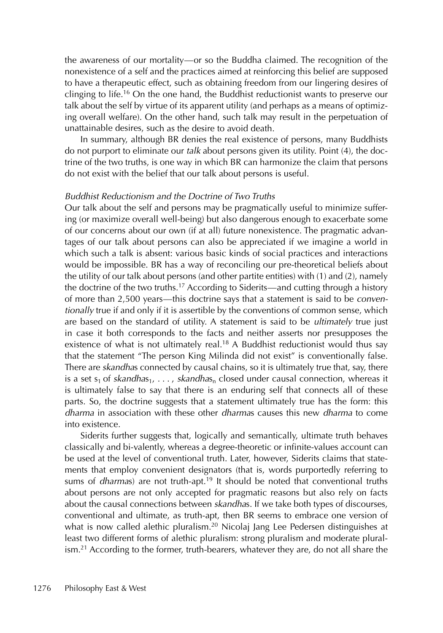the awareness of our mortality—or so the Buddha claimed. The recognition of the nonexistence of a self and the practices aimed at reinforcing this belief are supposed to have a therapeutic effect, such as obtaining freedom from our lingering desires of clinging to life.16 On the one hand, the Buddhist reductionist wants to preserve our talk about the self by virtue of its apparent utility (and perhaps as a means of optimizing overall welfare). On the other hand, such talk may result in the perpetuation of unattainable desires, such as the desire to avoid death.

In summary, although BR denies the real existence of persons, many Buddhists do not purport to eliminate our talk about persons given its utility. Point (4), the doctrine of the two truths, is one way in which BR can harmonize the claim that persons do not exist with the belief that our talk about persons is useful.

#### Buddhist Reductionism and the Doctrine of Two Truths

Our talk about the self and persons may be pragmatically useful to minimize suffering (or maximize overall well-being) but also dangerous enough to exacerbate some of our concerns about our own (if at all) future nonexistence. The pragmatic advantages of our talk about persons can also be appreciated if we imagine a world in which such a talk is absent: various basic kinds of social practices and interactions would be impossible. BR has a way of reconciling our pre-theoretical beliefs about the utility of our talk about persons (and other partite entities) with (1) and (2), namely the doctrine of the two truths.<sup>17</sup> According to Siderits—and cutting through a history of more than 2,500 years—this doctrine says that a statement is said to be conventionally true if and only if it is assertible by the conventions of common sense, which are based on the standard of utility. A statement is said to be *ultimately* true just in case it both corresponds to the facts and neither asserts nor presupposes the existence of what is not ultimately real.<sup>18</sup> A Buddhist reductionist would thus say that the statement "The person King Milinda did not exist" is conventionally false. There are skandhas connected by causal chains, so it is ultimately true that, say, there is a set  $s_1$  of skandhas<sub>1</sub>, ..., skandhas<sub>n</sub> closed under causal connection, whereas it is ultimately false to say that there is an enduring self that connects all of these parts. So, the doctrine suggests that a statement ultimately true has the form: this dharma in association with these other dharmas causes this new dharma to come into existence.

Siderits further suggests that, logically and semantically, ultimate truth behaves classically and bi-valently, whereas a degree-theoretic or infinite-values account can be used at the level of conventional truth. Later, however, Siderits claims that statements that employ convenient designators (that is, words purportedly referring to sums of *dharmas*) are not truth-apt.<sup>19</sup> It should be noted that conventional truths about persons are not only accepted for pragmatic reasons but also rely on facts about the causal connections between skandhas. If we take both types of discourses, conventional and ultimate, as truth-apt, then BR seems to embrace one version of what is now called alethic pluralism.<sup>20</sup> Nicolaj Jang Lee Pedersen distinguishes at least two different forms of alethic pluralism: strong pluralism and moderate pluralism.<sup>21</sup> According to the former, truth-bearers, whatever they are, do not all share the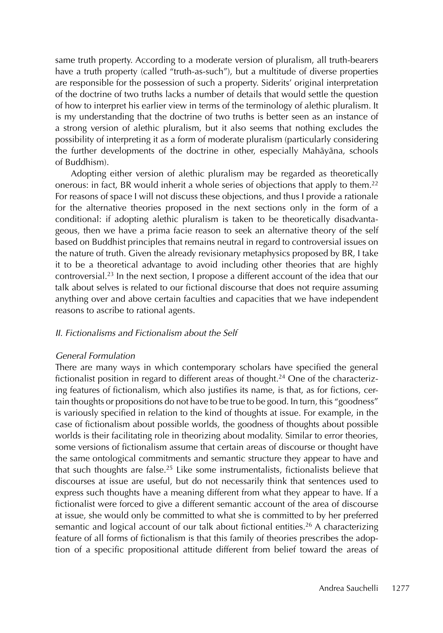same truth property. According to a moderate version of pluralism, all truth-bearers have a truth property (called "truth-as-such"), but a multitude of diverse properties are responsible for the possession of such a property. Siderits' original interpretation of the doctrine of two truths lacks a number of details that would settle the question of how to interpret his earlier view in terms of the terminology of alethic pluralism. It is my understanding that the doctrine of two truths is better seen as an instance of a strong version of alethic pluralism, but it also seems that nothing excludes the possibility of interpreting it as a form of moderate pluralism (particularly considering the further developments of the doctrine in other, especially Mahāyāna, schools of Buddhism).

Adopting either version of alethic pluralism may be regarded as theoretically onerous: in fact, BR would inherit a whole series of objections that apply to them.<sup>22</sup> For reasons of space I will not discuss these objections, and thus I provide a rationale for the alternative theories proposed in the next sections only in the form of a conditional: if adopting alethic pluralism is taken to be theoretically disadvantageous, then we have a prima facie reason to seek an alternative theory of the self based on Buddhist principles that remains neutral in regard to controversial issues on the nature of truth. Given the already revisionary metaphysics proposed by BR, I take it to be a theoretical advantage to avoid including other theories that are highly controversial.23 In the next section, I propose a different account of the idea that our talk about selves is related to our fictional discourse that does not require assuming anything over and above certain faculties and capacities that we have independent reasons to ascribe to rational agents.

#### II. Fictionalisms and Fictionalism about the Self

#### General Formulation

There are many ways in which contemporary scholars have specified the general fictionalist position in regard to different areas of thought.<sup>24</sup> One of the characterizing features of fictionalism, which also justifies its name, is that, as for fictions, certain thoughts or propositions do not have to be true to be good. In turn, this "goodness" is variously specified in relation to the kind of thoughts at issue. For example, in the case of fictionalism about possible worlds, the goodness of thoughts about possible worlds is their facilitating role in theorizing about modality. Similar to error theories, some versions of fictionalism assume that certain areas of discourse or thought have the same ontological commitments and semantic structure they appear to have and that such thoughts are false.<sup>25</sup> Like some instrumentalists, fictionalists believe that discourses at issue are useful, but do not necessarily think that sentences used to express such thoughts have a meaning different from what they appear to have. If a fictionalist were forced to give a different semantic account of the area of discourse at issue, she would only be committed to what she is committed to by her preferred semantic and logical account of our talk about fictional entities.<sup>26</sup> A characterizing feature of all forms of fictionalism is that this family of theories prescribes the adoption of a specific propositional attitude different from belief toward the areas of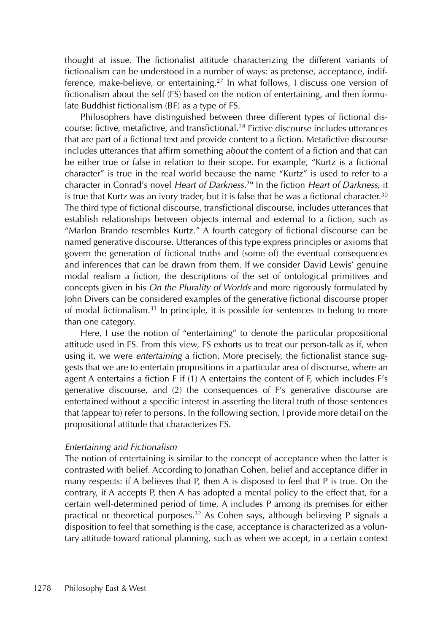thought at issue. The fictionalist attitude characterizing the different variants of fictionalism can be understood in a number of ways: as pretense, acceptance, indifference, make-believe, or entertaining.<sup>27</sup> In what follows, I discuss one version of fictionalism about the self (FS) based on the notion of entertaining, and then formulate Buddhist fictionalism (BF) as a type of FS.

Philosophers have distinguished between three different types of fictional discourse: fictive, metafictive, and transfictional.28 Fictive discourse includes utterances that are part of a fictional text and provide content to a fiction. Metafictive discourse includes utterances that affirm something about the content of a fiction and that can be either true or false in relation to their scope. For example, "Kurtz is a fictional character" is true in the real world because the name "Kurtz" is used to refer to a character in Conrad's novel Heart of Darkness.<sup>29</sup> In the fiction Heart of Darkness, it is true that Kurtz was an ivory trader, but it is false that he was a fictional character.<sup>30</sup> The third type of fictional discourse, transfictional discourse, includes utterances that establish relationships between objects internal and external to a fiction, such as "Marlon Brando resembles Kurtz." A fourth category of fictional discourse can be named generative discourse. Utterances of this type express principles or axioms that govern the generation of fictional truths and (some of) the eventual consequences and inferences that can be drawn from them. If we consider David Lewis' genuine modal realism a fiction, the descriptions of the set of ontological primitives and concepts given in his On the Plurality of Worlds and more rigorously formulated by John Divers can be considered examples of the generative fictional discourse proper of modal fictionalism.31 In principle, it is possible for sentences to belong to more than one category.

Here, I use the notion of "entertaining" to denote the particular propositional attitude used in FS. From this view, FS exhorts us to treat our person-talk as if, when using it, we were entertaining a fiction. More precisely, the fictionalist stance suggests that we are to entertain propositions in a particular area of discourse, where an agent A entertains a fiction F if (1) A entertains the content of F, which includes F's generative discourse, and (2) the consequences of F's generative discourse are entertained without a specific interest in asserting the literal truth of those sentences that (appear to) refer to persons. In the following section, I provide more detail on the propositional attitude that characterizes FS.

#### Entertaining and Fictionalism

The notion of entertaining is similar to the concept of acceptance when the latter is contrasted with belief. According to Jonathan Cohen, belief and acceptance differ in many respects: if A believes that P, then A is disposed to feel that P is true. On the contrary, if A accepts P, then A has adopted a mental policy to the effect that, for a certain well-determined period of time, A includes P among its premises for either practical or theoretical purposes.32 As Cohen says, although believing P signals a disposition to feel that something is the case, acceptance is characterized as a voluntary attitude toward rational planning, such as when we accept, in a certain context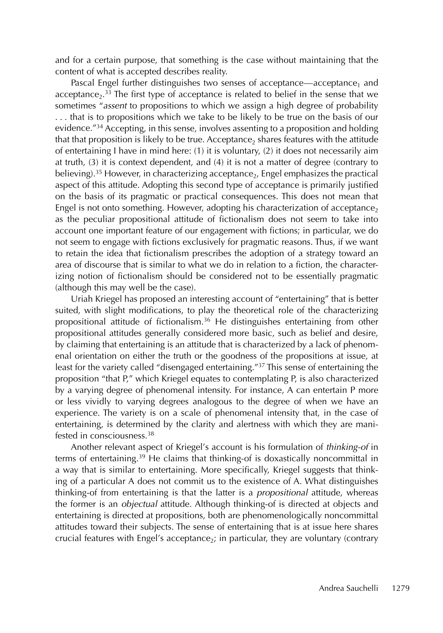and for a certain purpose, that something is the case without maintaining that the content of what is accepted describes reality.

Pascal Engel further distinguishes two senses of acceptance—acceptance<sub>1</sub> and acceptance<sub>2</sub>.<sup>33</sup> The first type of acceptance is related to belief in the sense that we sometimes "assent to propositions to which we assign a high degree of probability . . . that is to propositions which we take to be likely to be true on the basis of our evidence."34 Accepting, in this sense, involves assenting to a proposition and holding that that proposition is likely to be true. Acceptance, shares features with the attitude of entertaining I have in mind here: (1) it is voluntary, (2) it does not necessarily aim at truth, (3) it is context dependent, and (4) it is not a matter of degree (contrary to believing).<sup>35</sup> However, in characterizing acceptance<sub>2</sub>, Engel emphasizes the practical aspect of this attitude. Adopting this second type of acceptance is primarily justified on the basis of its pragmatic or practical consequences. This does not mean that Engel is not onto something. However, adopting his characterization of acceptance<sub>2</sub> as the peculiar propositional attitude of fictionalism does not seem to take into account one important feature of our engagement with fictions; in particular, we do not seem to engage with fictions exclusively for pragmatic reasons. Thus, if we want to retain the idea that fictionalism prescribes the adoption of a strategy toward an area of discourse that is similar to what we do in relation to a fiction, the characterizing notion of fictionalism should be considered not to be essentially pragmatic (although this may well be the case).

Uriah Kriegel has proposed an interesting account of "entertaining" that is better suited, with slight modifications, to play the theoretical role of the characterizing propositional attitude of fictionalism.36 He distinguishes entertaining from other propositional attitudes generally considered more basic, such as belief and desire, by claiming that entertaining is an attitude that is characterized by a lack of phenomenal orientation on either the truth or the goodness of the propositions at issue, at least for the variety called "disengaged entertaining."37 This sense of entertaining the proposition "that P," which Kriegel equates to contemplating P, is also characterized by a varying degree of phenomenal intensity. For instance, A can entertain P more or less vividly to varying degrees analogous to the degree of when we have an experience. The variety is on a scale of phenomenal intensity that, in the case of entertaining, is determined by the clarity and alertness with which they are manifested in consciousness<sup>38</sup>

Another relevant aspect of Kriegel's account is his formulation of thinking-of in terms of entertaining.39 He claims that thinking-of is doxastically noncommittal in a way that is similar to entertaining. More specifically, Kriegel suggests that thinking of a particular A does not commit us to the existence of A. What distinguishes thinking-of from entertaining is that the latter is a *propositional* attitude, whereas the former is an objectual attitude. Although thinking-of is directed at objects and entertaining is directed at propositions, both are phenomenologically noncommittal attitudes toward their subjects. The sense of entertaining that is at issue here shares crucial features with Engel's acceptance<sub>2</sub>; in particular, they are voluntary (contrary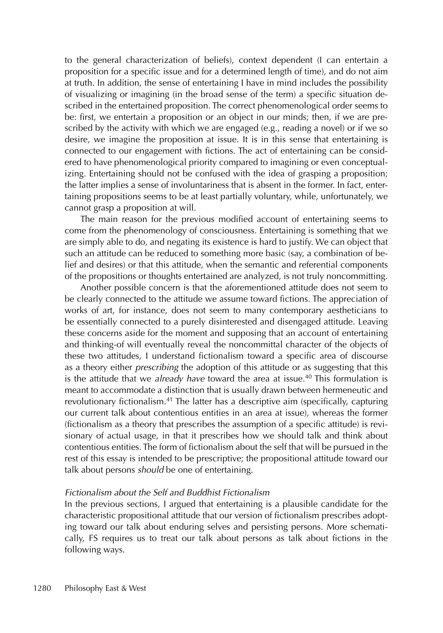to the general characterization of beliefs), context dependent (I can entertain a proposition for a specific issue and for a determined length of time), and do not aim at truth. In addition, the sense of entertaining I have in mind includes the possibility of visualizing or imagining (in the broad sense of the term) a specific situation described in the entertained proposition. The correct phenomenological order seems to be: first, we entertain a proposition or an object in our minds; then, if we are prescribed by the activity with which we are engaged (e.g., reading a novel) or if we so desire, we imagine the proposition at issue. It is in this sense that entertaining is connected to our engagement with fictions. The act of entertaining can be considered to have phenomenological priority compared to imagining or even conceptualizing. Entertaining should not be confused with the idea of grasping a proposition; the latter implies a sense of involuntariness that is absent in the former. In fact, entertaining propositions seems to be at least partially voluntary, while, unfortunately, we cannot grasp a proposition at will.

The main reason for the previous modified account of entertaining seems to come from the phenomenology of consciousness. Entertaining is something that we are simply able to do, and negating its existence is hard to justify. We can object that such an attitude can be reduced to something more basic (say, a combination of belief and desires) or that this attitude, when the semantic and referential components of the propositions or thoughts entertained are analyzed, is not truly noncommitting.

Another possible concern is that the aforementioned attitude does not seem to be clearly connected to the attitude we assume toward fictions. The appreciation of works of art, for instance, does not seem to many contemporary aestheticians to be essentially connected to a purely disinterested and disengaged attitude. Leaving these concerns aside for the moment and supposing that an account of entertaining and thinking-of will eventually reveal the noncommittal character of the objects of these two attitudes, I understand fictionalism toward a specific area of discourse as a theory either *prescribing* the adoption of this attitude or as suggesting that this is the attitude that we *already have* toward the area at issue.<sup>40</sup> This formulation is meant to accommodate a distinction that is usually drawn between hermeneutic and revolutionary fictionalism.<sup>41</sup> The latter has a descriptive aim (specifically, capturing our current talk about contentious entities in an area at issue), whereas the former (fictionalism as a theory that prescribes the assumption of a specific attitude) is revisionary of actual usage, in that it prescribes how we should talk and think about contentious entities. The form of fictionalism about the self that will be pursued in the rest of this essay is intended to be prescriptive; the propositional attitude toward our talk about persons *should* be one of entertaining.

### Fictionalism about the Self and Buddhist Fictionalism

In the previous sections, I argued that entertaining is a plausible candidate for the characteristic propositional attitude that our version of fictionalism prescribes adopting toward our talk about enduring selves and persisting persons. More schematically, FS requires us to treat our talk about persons as talk about fictions in the following ways.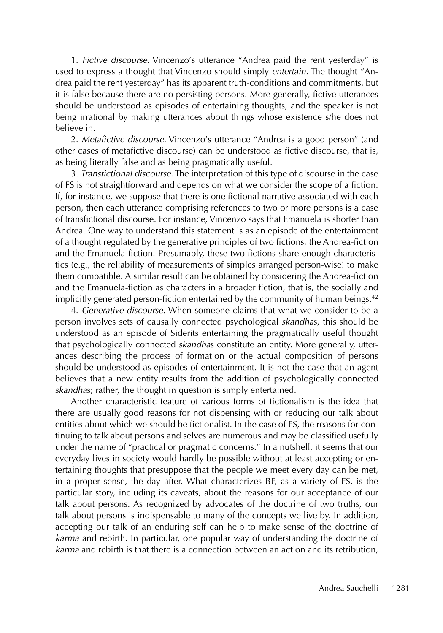1. Fictive discourse. Vincenzo's utterance "Andrea paid the rent yesterday" is used to express a thought that Vincenzo should simply entertain. The thought "Andrea paid the rent yesterday" has its apparent truth-conditions and commitments, but it is false because there are no persisting persons. More generally, fictive utterances should be understood as episodes of entertaining thoughts, and the speaker is not being irrational by making utterances about things whose existence s/he does not believe in.

2. Metafictive discourse. Vincenzo's utterance "Andrea is a good person" (and other cases of metafictive discourse) can be understood as fictive discourse, that is, as being literally false and as being pragmatically useful.

3. Transfictional discourse. The interpretation of this type of discourse in the case of FS is not straightforward and depends on what we consider the scope of a fiction. If, for instance, we suppose that there is one fictional narrative associated with each person, then each utterance comprising references to two or more persons is a case of transfictional discourse. For instance, Vincenzo says that Emanuela is shorter than Andrea. One way to understand this statement is as an episode of the entertainment of a thought regulated by the generative principles of two fictions, the Andrea-fiction and the Emanuela-fiction. Presumably, these two fictions share enough characteristics (e.g., the reliability of measurements of simples arranged person-wise) to make them compatible. A similar result can be obtained by considering the Andrea-fiction and the Emanuela-fiction as characters in a broader fiction, that is, the socially and implicitly generated person-fiction entertained by the community of human beings. $42$ 

4. Generative discourse. When someone claims that what we consider to be a person involves sets of causally connected psychological skandhas, this should be understood as an episode of Siderits entertaining the pragmatically useful thought that psychologically connected skandhas constitute an entity. More generally, utterances describing the process of formation or the actual composition of persons should be understood as episodes of entertainment. It is not the case that an agent believes that a new entity results from the addition of psychologically connected skandhas; rather, the thought in question is simply entertained.

Another characteristic feature of various forms of fictionalism is the idea that there are usually good reasons for not dispensing with or reducing our talk about entities about which we should be fictionalist. In the case of FS, the reasons for continuing to talk about persons and selves are numerous and may be classified usefully under the name of "practical or pragmatic concerns." In a nutshell, it seems that our everyday lives in society would hardly be possible without at least accepting or entertaining thoughts that presuppose that the people we meet every day can be met, in a proper sense, the day after. What characterizes BF, as a variety of FS, is the particular story, including its caveats, about the reasons for our acceptance of our talk about persons. As recognized by advocates of the doctrine of two truths, our talk about persons is indispensable to many of the concepts we live by. In addition, accepting our talk of an enduring self can help to make sense of the doctrine of karma and rebirth. In particular, one popular way of understanding the doctrine of karma and rebirth is that there is a connection between an action and its retribution,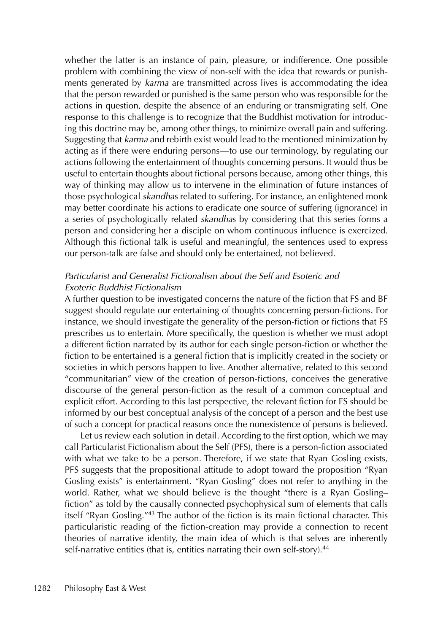whether the latter is an instance of pain, pleasure, or indifference. One possible problem with combining the view of non-self with the idea that rewards or punishments generated by karma are transmitted across lives is accommodating the idea that the person rewarded or punished is the same person who was responsible for the actions in question, despite the absence of an enduring or transmigrating self. One response to this challenge is to recognize that the Buddhist motivation for introducing this doctrine may be, among other things, to minimize overall pain and suffering. Suggesting that karma and rebirth exist would lead to the mentioned minimization by acting as if there were enduring persons—to use our terminology, by regulating our actions following the entertainment of thoughts concerning persons. It would thus be useful to entertain thoughts about fictional persons because, among other things, this way of thinking may allow us to intervene in the elimination of future instances of those psychological *skandhas* related to suffering. For instance, an enlightened monk may better coordinate his actions to eradicate one source of suffering (ignorance) in a series of psychologically related *skandhas* by considering that this series forms a person and considering her a disciple on whom continuous influence is exercized. Although this fictional talk is useful and meaningful, the sentences used to express our person-talk are false and should only be entertained, not believed.

## Particularist and Generalist Fictionalism about the Self and Esoteric and Exoteric Buddhist Fictionalism

A further question to be investigated concerns the nature of the fiction that FS and BF suggest should regulate our entertaining of thoughts concerning person-fictions. For instance, we should investigate the generality of the person-fiction or fictions that FS prescribes us to entertain. More specifically, the question is whether we must adopt a different fiction narrated by its author for each single person-fiction or whether the fiction to be entertained is a general fiction that is implicitly created in the society or societies in which persons happen to live. Another alternative, related to this second "communitarian" view of the creation of person-fictions, conceives the generative discourse of the general person-fiction as the result of a common conceptual and explicit effort. According to this last perspective, the relevant fiction for FS should be informed by our best conceptual analysis of the concept of a person and the best use of such a concept for practical reasons once the nonexistence of persons is believed.

Let us review each solution in detail. According to the first option, which we may call Particularist Fictionalism about the Self (PFS), there is a person-fiction associated with what we take to be a person. Therefore, if we state that Ryan Gosling exists, PFS suggests that the propositional attitude to adopt toward the proposition "Ryan Gosling exists" is entertainment. "Ryan Gosling" does not refer to anything in the world. Rather, what we should believe is the thought "there is a Ryan Gosling– fiction" as told by the causally connected psychophysical sum of elements that calls itself "Ryan Gosling."43 The author of the fiction is its main fictional character. This particularistic reading of the fiction-creation may provide a connection to recent theories of narrative identity, the main idea of which is that selves are inherently self-narrative entities (that is, entities narrating their own self-story).<sup>44</sup>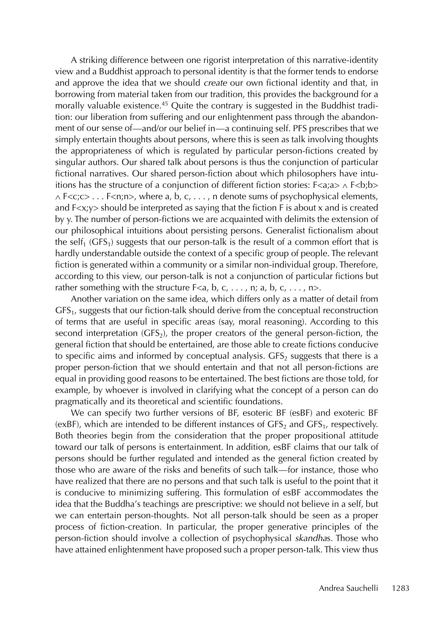A striking difference between one rigorist interpretation of this narrative-identity view and a Buddhist approach to personal identity is that the former tends to endorse and approve the idea that we should create our own fictional identity and that, in borrowing from material taken from our tradition, this provides the background for a morally valuable existence.45 Quite the contrary is suggested in the Buddhist tradition: our liberation from suffering and our enlightenment pass through the abandonment of our sense of—and/or our belief in—a continuing self. PFS prescribes that we simply entertain thoughts about persons, where this is seen as talk involving thoughts the appropriateness of which is regulated by particular person-fictions created by singular authors. Our shared talk about persons is thus the conjunction of particular fictional narratives. Our shared person-fiction about which philosophers have intuitions has the structure of a conjunction of different fiction stories:  $F \leq a$ ; $a > \land F \leq b$ ; $b >$  $\land$  F<c;c> . . . F<n;n>, where a, b, c,  $\dots$ , n denote sums of psychophysical elements, and F<x;y> should be interpreted as saying that the fiction F is about x and is created by y. The number of person-fictions we are acquainted with delimits the extension of our philosophical intuitions about persisting persons. Generalist fictionalism about the self<sub>1</sub> (GFS<sub>1</sub>) suggests that our person-talk is the result of a common effort that is hardly understandable outside the context of a specific group of people. The relevant fiction is generated within a community or a similar non-individual group. Therefore, according to this view, our person-talk is not a conjunction of particular fictions but rather something with the structure  $F\le a$ , b, c, ..., n; a, b, c, ..., n>.

Another variation on the same idea, which differs only as a matter of detail from GFS<sub>1</sub>, suggests that our fiction-talk should derive from the conceptual reconstruction of terms that are useful in specific areas (say, moral reasoning). According to this second interpretation ( $CFS<sub>2</sub>$ ), the proper creators of the general person-fiction, the general fiction that should be entertained, are those able to create fictions conducive to specific aims and informed by conceptual analysis.  $GFS<sub>2</sub>$  suggests that there is a proper person-fiction that we should entertain and that not all person-fictions are equal in providing good reasons to be entertained. The best fictions are those told, for example, by whoever is involved in clarifying what the concept of a person can do pragmatically and its theoretical and scientific foundations.

We can specify two further versions of BF, esoteric BF (esBF) and exoteric BF (exBF), which are intended to be different instances of  $CFS<sub>2</sub>$  and  $CFS<sub>1</sub>$ , respectively. Both theories begin from the consideration that the proper propositional attitude toward our talk of persons is entertainment. In addition, esBF claims that our talk of persons should be further regulated and intended as the general fiction created by those who are aware of the risks and benefits of such talk—for instance, those who have realized that there are no persons and that such talk is useful to the point that it is conducive to minimizing suffering. This formulation of esBF accommodates the idea that the Buddha's teachings are prescriptive: we should not believe in a self, but we can entertain person-thoughts. Not all person-talk should be seen as a proper process of fiction-creation. In particular, the proper generative principles of the person-fiction should involve a collection of psychophysical skandhas. Those who have attained enlightenment have proposed such a proper person-talk. This view thus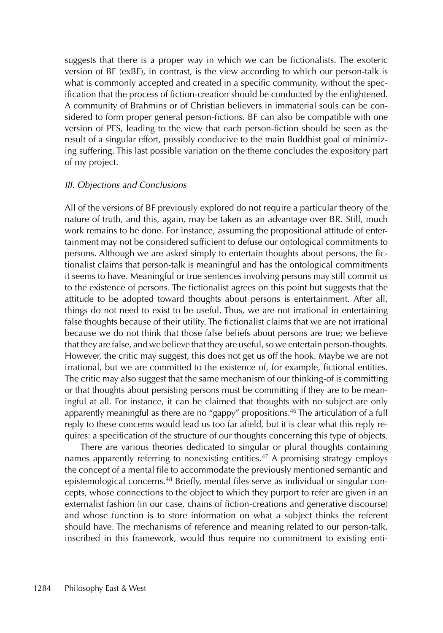suggests that there is a proper way in which we can be fictionalists. The exoteric version of BF (exBF), in contrast, is the view according to which our person-talk is what is commonly accepted and created in a specific community, without the specification that the process of fiction-creation should be conducted by the enlightened. A community of Brahmins or of Christian believers in immaterial souls can be considered to form proper general person-fictions. BF can also be compatible with one version of PFS, leading to the view that each person-fiction should be seen as the result of a singular effort, possibly conducive to the main Buddhist goal of minimizing suffering. This last possible variation on the theme concludes the expository part of my project.

#### III. Objections and Conclusions

All of the versions of BF previously explored do not require a particular theory of the nature of truth, and this, again, may be taken as an advantage over BR. Still, much work remains to be done. For instance, assuming the propositional attitude of entertainment may not be considered sufficient to defuse our ontological commitments to persons. Although we are asked simply to entertain thoughts about persons, the fictionalist claims that person-talk is meaningful and has the ontological commitments it seems to have. Meaningful or true sentences involving persons may still commit us to the existence of persons. The fictionalist agrees on this point but suggests that the attitude to be adopted toward thoughts about persons is entertainment. After all, things do not need to exist to be useful. Thus, we are not irrational in entertaining false thoughts because of their utility. The fictionalist claims that we are not irrational because we do not think that those false beliefs about persons are true; we believe that they are false, and we believe that they are useful, so we entertain person-thoughts. However, the critic may suggest, this does not get us off the hook. Maybe we are not irrational, but we are committed to the existence of, for example, fictional entities. The critic may also suggest that the same mechanism of our thinking-of is committing or that thoughts about persisting persons must be committing if they are to be meaningful at all. For instance, it can be claimed that thoughts with no subject are only apparently meaningful as there are no "gappy" propositions.<sup>46</sup> The articulation of a full reply to these concerns would lead us too far afield, but it is clear what this reply requires: a specification of the structure of our thoughts concerning this type of objects.

There are various theories dedicated to singular or plural thoughts containing names apparently referring to nonexisting entities.<sup>47</sup> A promising strategy employs the concept of a mental file to accommodate the previously mentioned semantic and epistemological concerns.48 Briefly, mental files serve as individual or singular concepts, whose connections to the object to which they purport to refer are given in an externalist fashion (in our case, chains of fiction-creations and generative discourse) and whose function is to store information on what a subject thinks the referent should have. The mechanisms of reference and meaning related to our person-talk, inscribed in this framework, would thus require no commitment to existing enti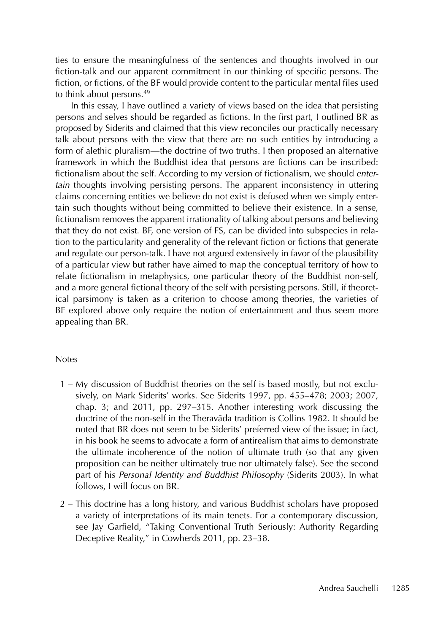ties to ensure the meaningfulness of the sentences and thoughts involved in our fiction-talk and our apparent commitment in our thinking of specific persons. The fiction, or fictions, of the BF would provide content to the particular mental files used to think about persons.49

In this essay, I have outlined a variety of views based on the idea that persisting persons and selves should be regarded as fictions. In the first part, I outlined BR as proposed by Siderits and claimed that this view reconciles our practically necessary talk about persons with the view that there are no such entities by introducing a form of alethic pluralism—the doctrine of two truths. I then proposed an alternative framework in which the Buddhist idea that persons are fictions can be inscribed: fictionalism about the self. According to my version of fictionalism, we should entertain thoughts involving persisting persons. The apparent inconsistency in uttering claims concerning entities we believe do not exist is defused when we simply entertain such thoughts without being committed to believe their existence. In a sense, fictionalism removes the apparent irrationality of talking about persons and believing that they do not exist. BF, one version of FS, can be divided into subspecies in relation to the particularity and generality of the relevant fiction or fictions that generate and regulate our person-talk. I have not argued extensively in favor of the plausibility of a particular view but rather have aimed to map the conceptual territory of how to relate fictionalism in metaphysics, one particular theory of the Buddhist non-self, and a more general fictional theory of the self with persisting persons. Still, if theoretical parsimony is taken as a criterion to choose among theories, the varieties of BF explored above only require the notion of entertainment and thus seem more appealing than BR.

#### Notes

- 1 My discussion of Buddhist theories on the self is based mostly, but not exclusively, on Mark Siderits' works. See Siderits 1997, pp. 455–478; 2003; 2007, chap. 3; and 2011, pp. 297–315. Another interesting work discussing the doctrine of the non-self in the Theravāda tradition is Collins 1982. It should be noted that BR does not seem to be Siderits' preferred view of the issue; in fact, in his book he seems to advocate a form of antirealism that aims to demonstrate the ultimate incoherence of the notion of ultimate truth (so that any given proposition can be neither ultimately true nor ultimately false). See the second part of his Personal Identity and Buddhist Philosophy (Siderits 2003). In what follows, I will focus on BR.
- 2 This doctrine has a long history, and various Buddhist scholars have proposed a variety of interpretations of its main tenets. For a contemporary discussion, see Jay Garfield, "Taking Conventional Truth Seriously: Authority Regarding Deceptive Reality," in Cowherds 2011, pp. 23–38.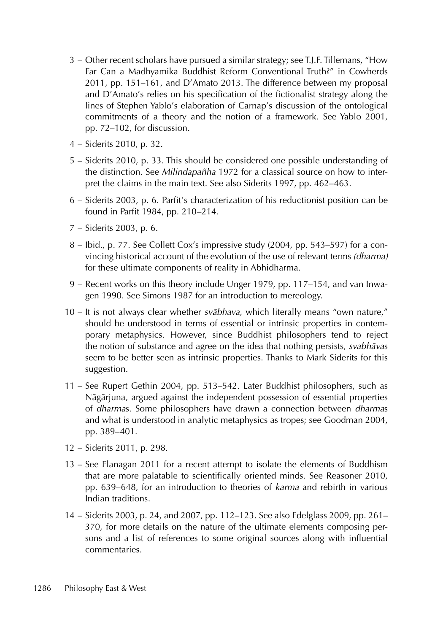- 3 Other recent scholars have pursued a similar strategy; see T.J.F. Tillemans, "How Far Can a Madhyamika Buddhist Reform Conventional Truth?" in Cowherds 2011, pp. 151–161, and D'Amato 2013. The difference between my proposal and D'Amato's relies on his specification of the fictionalist strategy along the lines of Stephen Yablo's elaboration of Carnap's discussion of the ontological commitments of a theory and the notion of a framework. See Yablo 2001, pp. 72–102, for discussion.
- 4 Siderits 2010, p. 32.
- 5 Siderits 2010, p. 33. This should be considered one possible understanding of the distinction. See Milindapañha 1972 for a classical source on how to interpret the claims in the main text. See also Siderits 1997, pp. 462–463.
- 6 Siderits 2003, p. 6. Parfit's characterization of his reductionist position can be found in Parfit 1984, pp. 210–214.
- 7 Siderits 2003, p. 6.
- 8 Ibid., p. 77. See Collett Cox's impressive study (2004, pp. 543–597) for a convincing historical account of the evolution of the use of relevant terms (dharma) for these ultimate components of reality in Abhidharma.
- 9 Recent works on this theory include Unger 1979, pp. 117–154, and van Inwagen 1990. See Simons 1987 for an introduction to mereology.
- 10 It is not always clear whether *svābhava*, which literally means "own nature," should be understood in terms of essential or intrinsic properties in contemporary metaphysics. However, since Buddhist philosophers tend to reject the notion of substance and agree on the idea that nothing persists, svabhavas seem to be better seen as intrinsic properties. Thanks to Mark Siderits for this suggestion.
- 11 See Rupert Gethin 2004, pp. 513–542. Later Buddhist philosophers, such as Nāgārjuna, argued against the independent possession of essential properties of dharmas. Some philosophers have drawn a connection between dharmas and what is understood in analytic metaphysics as tropes; see Goodman 2004, pp. 389–401.
- 12 Siderits 2011, p. 298.
- 13 See Flanagan 2011 for a recent attempt to isolate the elements of Buddhism that are more palatable to scientifically oriented minds. See Reasoner 2010, pp. 639–648, for an introduction to theories of karma and rebirth in various Indian traditions.
- 14 Siderits 2003, p. 24, and 2007, pp. 112–123. See also Edelglass 2009, pp. 261– 370, for more details on the nature of the ultimate elements composing persons and a list of references to some original sources along with influential commentaries.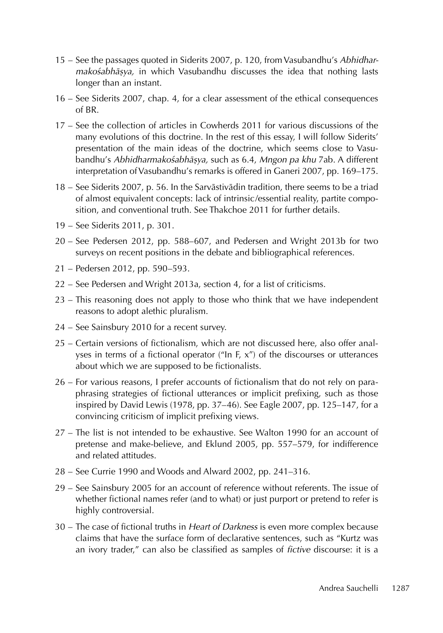- 15 See the passages quoted in Siderits 2007, p. 120, from Vasubandhu's Abhidharmakośabhāṣya, in which Vasubandhu discusses the idea that nothing lasts longer than an instant.
- 16 See Siderits 2007, chap. 4, for a clear assessment of the ethical consequences of BR.
- 17 See the collection of articles in Cowherds 2011 for various discussions of the many evolutions of this doctrine. In the rest of this essay, I will follow Siderits' presentation of the main ideas of the doctrine, which seems close to Vasubandhu's Abhidharmakośabhāṣya, such as 6.4, Mngon pa khu 7ab. A different interpretation of Vasubandhu's remarks is offered in Ganeri 2007, pp. 169–175.
- 18 See Siderits 2007, p. 56. In the Sarvāstivādin tradition, there seems to be a triad of almost equivalent concepts: lack of intrinsic/essential reality, partite composition, and conventional truth. See Thakchoe 2011 for further details.
- 19 See Siderits 2011, p. 301.
- 20 See Pedersen 2012, pp. 588–607, and Pedersen and Wright 2013b for two surveys on recent positions in the debate and bibliographical references.
- 21 Pedersen 2012, pp. 590–593.
- 22 See Pedersen and Wright 2013a, section 4, for a list of criticisms.
- 23 This reasoning does not apply to those who think that we have independent reasons to adopt alethic pluralism.
- 24 See Sainsbury 2010 for a recent survey.
- 25 Certain versions of fictionalism, which are not discussed here, also offer analyses in terms of a fictional operator ("In F, x") of the discourses or utterances about which we are supposed to be fictionalists.
- 26 For various reasons, I prefer accounts of fictionalism that do not rely on paraphrasing strategies of fictional utterances or implicit prefixing, such as those inspired by David Lewis (1978, pp. 37–46). See Eagle 2007, pp. 125–147, for a convincing criticism of implicit prefixing views.
- 27 The list is not intended to be exhaustive. See Walton 1990 for an account of pretense and make-believe, and Eklund 2005, pp. 557–579, for indifference and related attitudes.
- 28 See Currie 1990 and Woods and Alward 2002, pp. 241–316.
- 29 See Sainsbury 2005 for an account of reference without referents. The issue of whether fictional names refer (and to what) or just purport or pretend to refer is highly controversial.
- 30 The case of fictional truths in Heart of Darkness is even more complex because claims that have the surface form of declarative sentences, such as "Kurtz was an ivory trader," can also be classified as samples of fictive discourse: it is a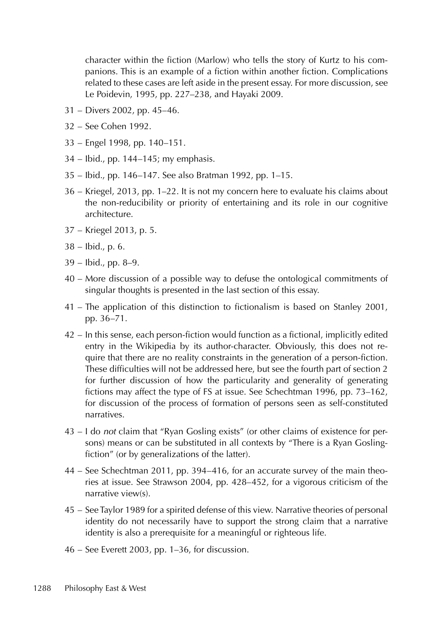character within the fiction (Marlow) who tells the story of Kurtz to his companions. This is an example of a fiction within another fiction. Complications related to these cases are left aside in the present essay. For more discussion, see Le Poidevin, 1995, pp. 227–238, and Hayaki 2009.

- 31 Divers 2002, pp. 45–46.
- 32 See Cohen 1992.
- 33 Engel 1998, pp. 140–151.
- 34 Ibid., pp. 144–145; my emphasis.
- 35 Ibid., pp. 146–147. See also Bratman 1992, pp. 1–15.
- 36 Kriegel, 2013, pp. 1–22. It is not my concern here to evaluate his claims about the non-reducibility or priority of entertaining and its role in our cognitive architecture.
- 37 Kriegel 2013, p. 5.
- 38 Ibid., p. 6.
- 39 Ibid., pp. 8–9.
- 40 More discussion of a possible way to defuse the ontological commitments of singular thoughts is presented in the last section of this essay.
- 41 The application of this distinction to fictionalism is based on Stanley 2001, pp. 36–71.
- 42 In this sense, each person-fiction would function as a fictional, implicitly edited entry in the Wikipedia by its author-character. Obviously, this does not require that there are no reality constraints in the generation of a person-fiction. These difficulties will not be addressed here, but see the fourth part of section 2 for further discussion of how the particularity and generality of generating fictions may affect the type of FS at issue. See Schechtman 1996, pp. 73–162, for discussion of the process of formation of persons seen as self-constituted narratives.
- 43 I do not claim that "Ryan Gosling exists" (or other claims of existence for persons) means or can be substituted in all contexts by "There is a Ryan Goslingfiction" (or by generalizations of the latter).
- 44 See Schechtman 2011, pp. 394–416, for an accurate survey of the main theories at issue. See Strawson 2004, pp. 428–452, for a vigorous criticism of the narrative view(s).
- 45 See Taylor 1989 for a spirited defense of this view. Narrative theories of personal identity do not necessarily have to support the strong claim that a narrative identity is also a prerequisite for a meaningful or righteous life.
- 46 See Everett 2003, pp. 1–36, for discussion.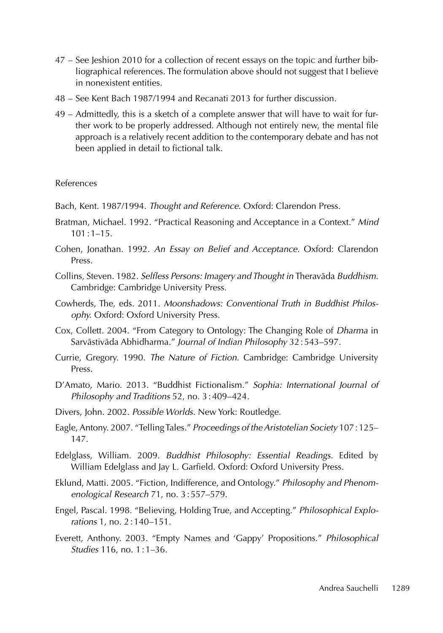- 47 See Jeshion 2010 for a collection of recent essays on the topic and further bibliographical references. The formulation above should not suggest that I believe in nonexistent entities.
- 48 See Kent Bach 1987/1994 and Recanati 2013 for further discussion.
- 49 Admittedly, this is a sketch of a complete answer that will have to wait for further work to be properly addressed. Although not entirely new, the mental file approach is a relatively recent addition to the contemporary debate and has not been applied in detail to fictional talk.

#### References

- Bach, Kent. 1987/1994. Thought and Reference. Oxford: Clarendon Press.
- Bratman, Michael. 1992. "Practical Reasoning and Acceptance in a Context." Mind  $101 \cdot 1 - 15$
- Cohen, Jonathan. 1992. An Essay on Belief and Acceptance. Oxford: Clarendon Press.
- Collins, Steven. 1982. Selfless Persons: Imagery and Thought in Theravāda Buddhism. Cambridge: Cambridge University Press.
- Cowherds, The, eds. 2011. Moonshadows: Conventional Truth in Buddhist Philosophy. Oxford: Oxford University Press.
- Cox, Collett. 2004. "From Category to Ontology: The Changing Role of Dharma in Sarvāstivāda Abhidharma." Journal of Indian Philosophy 32:543–597.
- Currie, Gregory. 1990. The Nature of Fiction. Cambridge: Cambridge University Press.
- D'Amato, Mario. 2013. "Buddhist Fictionalism." Sophia: International Journal of Philosophy and Traditions 52, no. 3:409–424.
- Divers, John. 2002. Possible Worlds. New York: Routledge.
- Eagle, Antony. 2007. "Telling Tales." Proceedings of the Aristotelian Society 107:125– 147.
- Edelglass, William. 2009. Buddhist Philosophy: Essential Readings. Edited by William Edelglass and Jay L. Garfield. Oxford: Oxford University Press.
- Eklund, Matti. 2005. "Fiction, Indifference, and Ontology." Philosophy and Phenomenological Research 71, no. 3:557–579.
- Engel, Pascal. 1998. "Believing, Holding True, and Accepting." Philosophical Explorations 1, no. 2:140–151.
- Everett, Anthony. 2003. "Empty Names and 'Gappy' Propositions." Philosophical Studies 116, no. 1:1–36.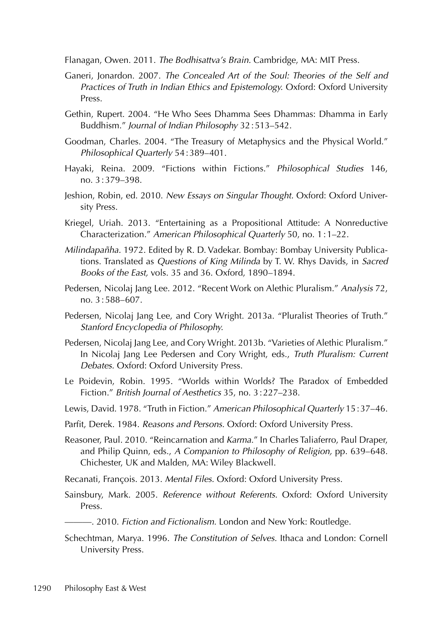Flanagan, Owen. 2011. The Bodhisattva's Brain. Cambridge, MA: MIT Press.

- Ganeri, Jonardon. 2007. The Concealed Art of the Soul: Theories of the Self and Practices of Truth in Indian Ethics and Epistemology. Oxford: Oxford University Press.
- Gethin, Rupert. 2004. "He Who Sees Dhamma Sees Dhammas: Dhamma in Early Buddhism." Journal of Indian Philosophy 32:513–542.
- Goodman, Charles. 2004. "The Treasury of Metaphysics and the Physical World." Philosophical Quarterly 54:389–401.
- Hayaki, Reina. 2009. "Fictions within Fictions." Philosophical Studies 146, no. 3:379–398.
- Jeshion, Robin, ed. 2010. New Essays on Singular Thought. Oxford: Oxford University Press.
- Kriegel, Uriah. 2013. "Entertaining as a Propositional Attitude: A Nonreductive Characterization." American Philosophical Quarterly 50, no. 1:1–22.
- Milindapañha. 1972. Edited by R. D. Vadekar. Bombay: Bombay University Publications. Translated as Questions of King Milinda by T. W. Rhys Davids, in Sacred Books of the East, vols. 35 and 36. Oxford, 1890–1894.
- Pedersen, Nicolaj Jang Lee. 2012. "Recent Work on Alethic Pluralism." Analysis 72, no. 3:588–607.
- Pedersen, Nicolaj Jang Lee, and Cory Wright. 2013a. "Pluralist Theories of Truth." Stanford Encyclopedia of Philosophy.
- Pedersen, Nicolaj Jang Lee, and Cory Wright. 2013b. "Varieties of Alethic Pluralism." In Nicolaj Jang Lee Pedersen and Cory Wright, eds., Truth Pluralism: Current Debates. Oxford: Oxford University Press.
- Le Poidevin, Robin. 1995. "Worlds within Worlds? The Paradox of Embedded Fiction." British Journal of Aesthetics 35, no. 3:227–238.
- Lewis, David. 1978. "Truth in Fiction." American Philosophical Quarterly 15:37-46.
- Parfit, Derek. 1984. Reasons and Persons. Oxford: Oxford University Press.
- Reasoner, Paul. 2010. "Reincarnation and Karma." In Charles Taliaferro, Paul Draper, and Philip Quinn, eds., A Companion to Philosophy of Religion, pp. 639–648. Chichester, UK and Malden, MA: Wiley Blackwell.
- Recanati, François. 2013. Mental Files. Oxford: Oxford University Press.
- Sainsbury, Mark. 2005. Reference without Referents. Oxford: Oxford University Press.
	- $-$ . 2010. Fiction and Fictionalism. London and New York: Routledge.
- Schechtman, Marya. 1996. The Constitution of Selves. Ithaca and London: Cornell University Press.